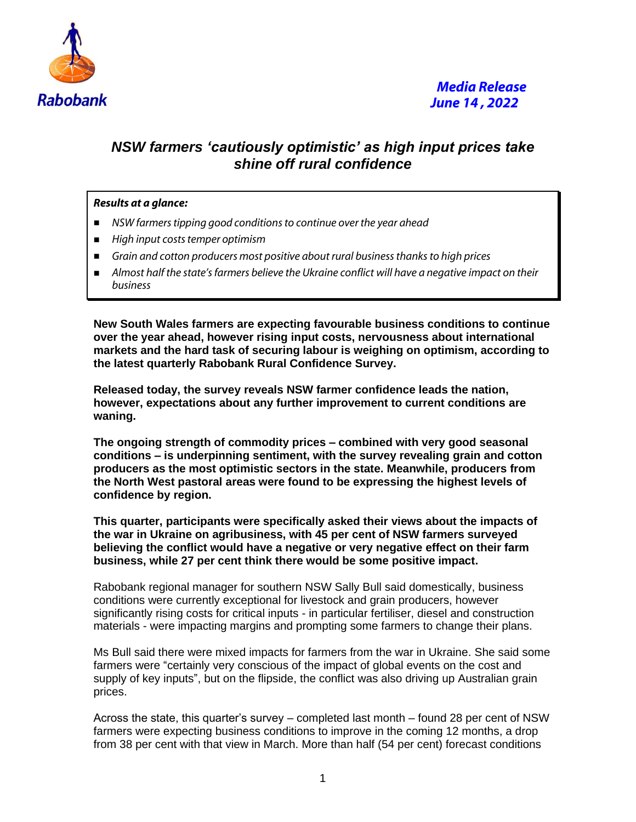

## *NSW farmers 'cautiously optimistic' as high input prices take shine off rural confidence*

## *Results at a glance:*

- *NSW farmers tipping good conditions to continue over the year ahead*
- *High input costs temper optimism*
- *Grain and cotton producers most positive about rural business thanks to high prices*
- *Almost half the state's farmers believe the Ukraine conflict will have a negative impact on their business*

**New South Wales farmers are expecting favourable business conditions to continue over the year ahead, however rising input costs, nervousness about international markets and the hard task of securing labour is weighing on optimism, according to the latest quarterly Rabobank Rural Confidence Survey.** 

**Released today, the survey reveals NSW farmer confidence leads the nation, however, expectations about any further improvement to current conditions are waning.**

**The ongoing strength of commodity prices – combined with very good seasonal conditions – is underpinning sentiment, with the survey revealing grain and cotton producers as the most optimistic sectors in the state. Meanwhile, producers from the North West pastoral areas were found to be expressing the highest levels of confidence by region.**

**This quarter, participants were specifically asked their views about the impacts of the war in Ukraine on agribusiness, with 45 per cent of NSW farmers surveyed believing the conflict would have a negative or very negative effect on their farm business, while 27 per cent think there would be some positive impact.**

Rabobank regional manager for southern NSW Sally Bull said domestically, business conditions were currently exceptional for livestock and grain producers, however significantly rising costs for critical inputs - in particular fertiliser, diesel and construction materials - were impacting margins and prompting some farmers to change their plans.

Ms Bull said there were mixed impacts for farmers from the war in Ukraine. She said some farmers were "certainly very conscious of the impact of global events on the cost and supply of key inputs", but on the flipside, the conflict was also driving up Australian grain prices.

Across the state, this quarter's survey – completed last month – found 28 per cent of NSW farmers were expecting business conditions to improve in the coming 12 months, a drop from 38 per cent with that view in March. More than half (54 per cent) forecast conditions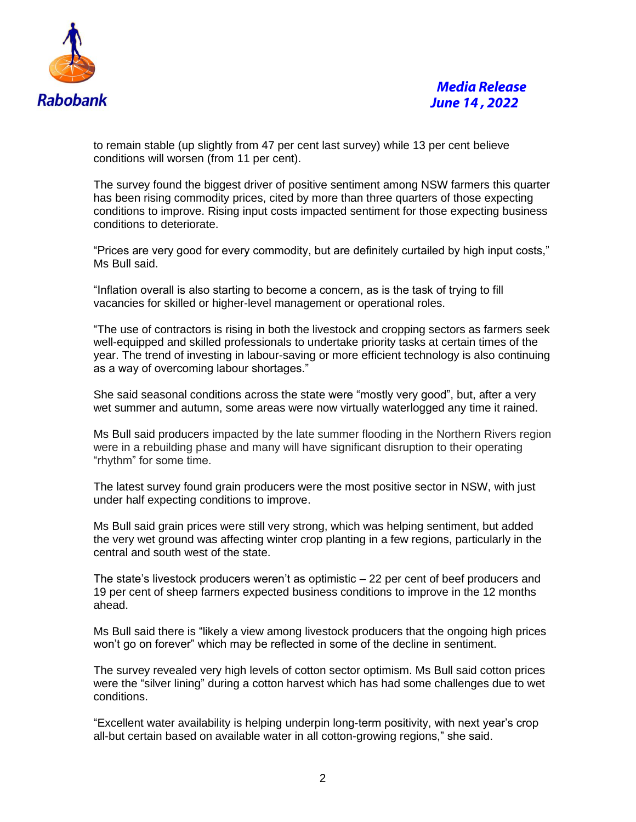

to remain stable (up slightly from 47 per cent last survey) while 13 per cent believe conditions will worsen (from 11 per cent).

The survey found the biggest driver of positive sentiment among NSW farmers this quarter has been rising commodity prices, cited by more than three quarters of those expecting conditions to improve. Rising input costs impacted sentiment for those expecting business conditions to deteriorate.

"Prices are very good for every commodity, but are definitely curtailed by high input costs," Ms Bull said.

"Inflation overall is also starting to become a concern, as is the task of trying to fill vacancies for skilled or higher-level management or operational roles.

"The use of contractors is rising in both the livestock and cropping sectors as farmers seek well-equipped and skilled professionals to undertake priority tasks at certain times of the year. The trend of investing in labour-saving or more efficient technology is also continuing as a way of overcoming labour shortages."

She said seasonal conditions across the state were "mostly very good", but, after a very wet summer and autumn, some areas were now virtually waterlogged any time it rained.

Ms Bull said producers impacted by the late summer flooding in the Northern Rivers region were in a rebuilding phase and many will have significant disruption to their operating "rhythm" for some time.

The latest survey found grain producers were the most positive sector in NSW, with just under half expecting conditions to improve.

Ms Bull said grain prices were still very strong, which was helping sentiment, but added the very wet ground was affecting winter crop planting in a few regions, particularly in the central and south west of the state.

The state's livestock producers weren't as optimistic – 22 per cent of beef producers and 19 per cent of sheep farmers expected business conditions to improve in the 12 months ahead.

Ms Bull said there is "likely a view among livestock producers that the ongoing high prices won't go on forever" which may be reflected in some of the decline in sentiment.

The survey revealed very high levels of cotton sector optimism. Ms Bull said cotton prices were the "silver lining" during a cotton harvest which has had some challenges due to wet conditions.

"Excellent water availability is helping underpin long-term positivity, with next year's crop all-but certain based on available water in all cotton-growing regions," she said.